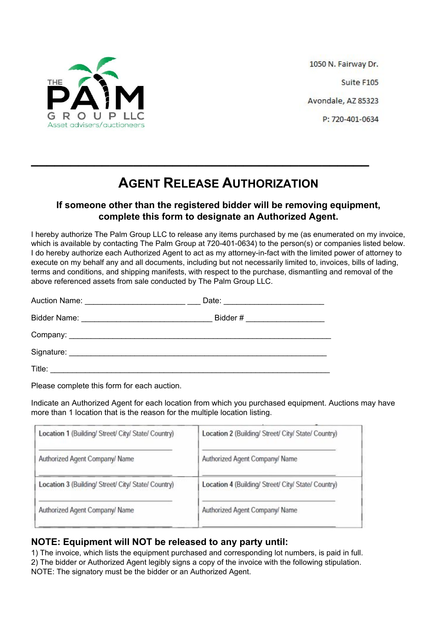

1050 N. Fairway Dr. Suite F105 Avondale, AZ 85323 P: 720-401-0634

## **AGENT RELEASE AUTHORIZATION**

**\_\_\_\_\_\_\_\_\_\_\_\_\_\_\_\_\_\_\_\_\_\_\_\_\_\_\_\_\_\_\_\_\_\_\_\_\_\_\_\_\_\_\_**

## **If someone other than the registered bidder will be removing equipment, complete this form to designate an Authorized Agent.**

I hereby authorize The Palm Group LLC to release any items purchased by me (as enumerated on my invoice, which is available by contacting The Palm Group at 720-401-0634) to the person(s) or companies listed below. I do hereby authorize each Authorized Agent to act as my attorney-in-fact with the limited power of attorney to execute on my behalf any and all documents, including but not necessarily limited to, invoices, bills of lading, terms and conditions, and shipping manifests, with respect to the purchase, dismantling and removal of the above referenced assets from sale conducted by The Palm Group LLC.

|        | Date: <u>________________________</u> |  |
|--------|---------------------------------------|--|
|        | Bidder # ______________________       |  |
|        |                                       |  |
|        |                                       |  |
| Title: |                                       |  |

Please complete this form for each auction.

Indicate an Authorized Agent for each location from which you purchased equipment. Auctions may have more than 1 location that is the reason for the multiple location listing.

| Location 1 (Building/ Street/ City/ State/ Country) | Location 2 (Building/ Street/ City/ State/ Country) |
|-----------------------------------------------------|-----------------------------------------------------|
| Authorized Agent Company/ Name                      | Authorized Agent Company/ Name                      |
| Location 3 (Building/ Street/ City/ State/ Country) | Location 4 (Building/ Street/ City/ State/ Country) |
| Authorized Agent Company/ Name                      | Authorized Agent Company/ Name                      |
|                                                     |                                                     |

## **NOTE: Equipment will NOT be released to any party until:**

1) The invoice, which lists the equipment purchased and corresponding lot numbers, is paid in full. 2) The bidder or Authorized Agent legibly signs a copy of the invoice with the following stipulation. NOTE: The signatory must be the bidder or an Authorized Agent.